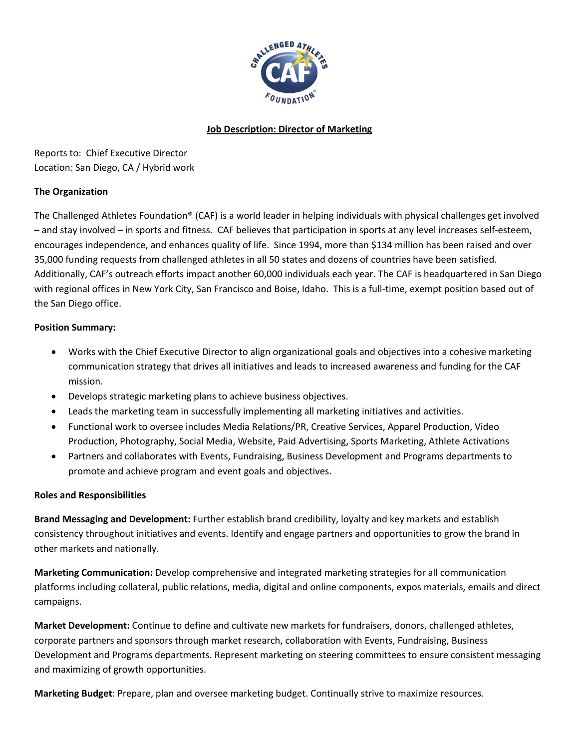

# **Job Description: Director of Marketing**

Reports to: Chief Executive Director Location: San Diego, CA / Hybrid work

# **The Organization**

The Challenged Athletes Foundation® (CAF) is a world leader in helping individuals with physical challenges get involved – and stay involved – in sports and fitness. CAF believes that participation in sports at any level increases self-esteem, encourages independence, and enhances quality of life. Since 1994, more than \$134 million has been raised and over 35,000 funding requests from challenged athletes in all 50 states and dozens of countries have been satisfied. Additionally, CAF's outreach efforts impact another 60,000 individuals each year. The CAF is headquartered in San Diego with regional offices in New York City, San Francisco and Boise, Idaho. This is a full-time, exempt position based out of the San Diego office.

### **Position Summary:**

- Works with the Chief Executive Director to align organizational goals and objectives into a cohesive marketing communication strategy that drives all initiatives and leads to increased awareness and funding for the CAF mission.
- Develops strategic marketing plans to achieve business objectives.
- Leads the marketing team in successfully implementing all marketing initiatives and activities.
- Functional work to oversee includes Media Relations/PR, Creative Services, Apparel Production, Video Production, Photography, Social Media, Website, Paid Advertising, Sports Marketing, Athlete Activations
- Partners and collaborates with Events, Fundraising, Business Development and Programs departments to promote and achieve program and event goals and objectives.

#### **Roles and Responsibilities**

**Brand Messaging and Development:** Further establish brand credibility, loyalty and key markets and establish consistency throughout initiatives and events. Identify and engage partners and opportunities to grow the brand in other markets and nationally.

**Marketing Communication:** Develop comprehensive and integrated marketing strategies for all communication platforms including collateral, public relations, media, digital and online components, expos materials, emails and direct campaigns.

**Market Development:** Continue to define and cultivate new markets for fundraisers, donors, challenged athletes, corporate partners and sponsors through market research, collaboration with Events, Fundraising, Business Development and Programs departments. Represent marketing on steering committees to ensure consistent messaging and maximizing of growth opportunities.

**Marketing Budget**: Prepare, plan and oversee marketing budget. Continually strive to maximize resources.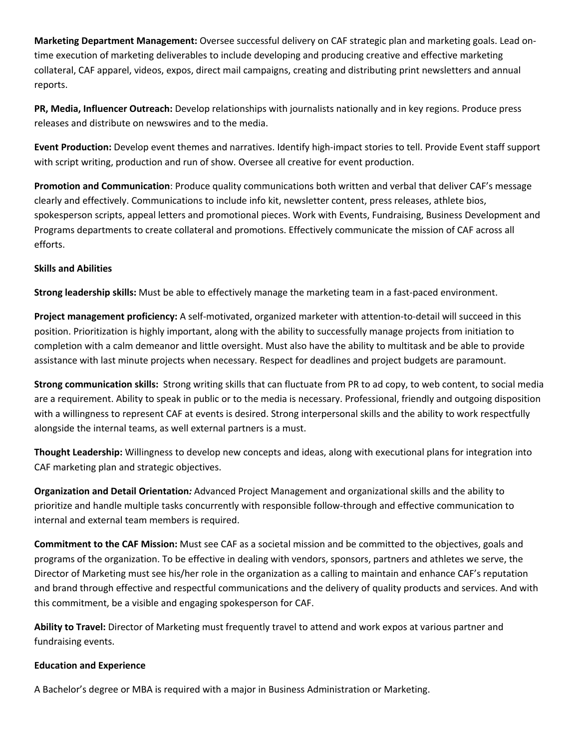**Marketing Department Management:** Oversee successful delivery on CAF strategic plan and marketing goals. Lead ontime execution of marketing deliverables to include developing and producing creative and effective marketing collateral, CAF apparel, videos, expos, direct mail campaigns, creating and distributing print newsletters and annual reports.

**PR, Media, Influencer Outreach:** Develop relationships with journalists nationally and in key regions. Produce press releases and distribute on newswires and to the media.

**Event Production:** Develop event themes and narratives. Identify high-impact stories to tell. Provide Event staff support with script writing, production and run of show. Oversee all creative for event production.

**Promotion and Communication**: Produce quality communications both written and verbal that deliver CAF's message clearly and effectively. Communications to include info kit, newsletter content, press releases, athlete bios, spokesperson scripts, appeal letters and promotional pieces. Work with Events, Fundraising, Business Development and Programs departments to create collateral and promotions. Effectively communicate the mission of CAF across all efforts.

# **Skills and Abilities**

**Strong leadership skills:** Must be able to effectively manage the marketing team in a fast-paced environment.

**Project management proficiency:** A self-motivated, organized marketer with attention-to-detail will succeed in this position. Prioritization is highly important, along with the ability to successfully manage projects from initiation to completion with a calm demeanor and little oversight. Must also have the ability to multitask and be able to provide assistance with last minute projects when necessary. Respect for deadlines and project budgets are paramount.

**Strong communication skills:** Strong writing skills that can fluctuate from PR to ad copy, to web content, to social media are a requirement. Ability to speak in public or to the media is necessary. Professional, friendly and outgoing disposition with a willingness to represent CAF at events is desired. Strong interpersonal skills and the ability to work respectfully alongside the internal teams, as well external partners is a must.

**Thought Leadership:** Willingness to develop new concepts and ideas, along with executional plans for integration into CAF marketing plan and strategic objectives.

**Organization and Detail Orientation***:* Advanced Project Management and organizational skills and the ability to prioritize and handle multiple tasks concurrently with responsible follow-through and effective communication to internal and external team members is required.

**Commitment to the CAF Mission:** Must see CAF as a societal mission and be committed to the objectives, goals and programs of the organization. To be effective in dealing with vendors, sponsors, partners and athletes we serve, the Director of Marketing must see his/her role in the organization as a calling to maintain and enhance CAF's reputation and brand through effective and respectful communications and the delivery of quality products and services. And with this commitment, be a visible and engaging spokesperson for CAF.

**Ability to Travel:** Director of Marketing must frequently travel to attend and work expos at various partner and fundraising events.

#### **Education and Experience**

A Bachelor's degree or MBA is required with a major in Business Administration or Marketing.